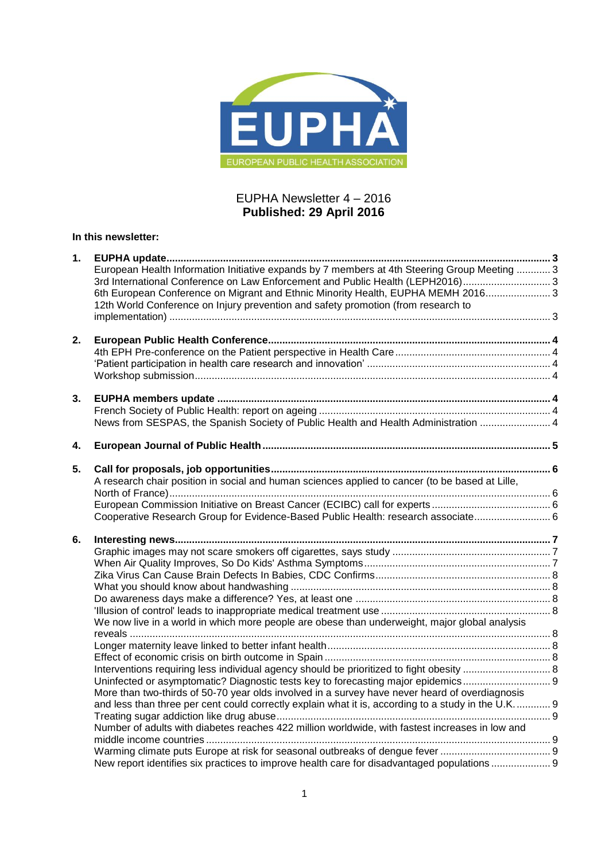

## EUPHA Newsletter 4 – 2016 **Published: 29 April 2016**

## **In this newsletter:**

| 1. |                                                                                                    |  |
|----|----------------------------------------------------------------------------------------------------|--|
|    | European Health Information Initiative expands by 7 members at 4th Steering Group Meeting  3       |  |
|    | 3rd International Conference on Law Enforcement and Public Health (LEPH2016) 3                     |  |
|    | 6th European Conference on Migrant and Ethnic Minority Health, EUPHA MEMH 2016 3                   |  |
|    | 12th World Conference on Injury prevention and safety promotion (from research to                  |  |
|    |                                                                                                    |  |
|    |                                                                                                    |  |
| 2. |                                                                                                    |  |
|    |                                                                                                    |  |
|    |                                                                                                    |  |
|    |                                                                                                    |  |
| 3. |                                                                                                    |  |
|    |                                                                                                    |  |
|    | News from SESPAS, the Spanish Society of Public Health and Health Administration  4                |  |
|    |                                                                                                    |  |
| 4. |                                                                                                    |  |
|    |                                                                                                    |  |
| 5. | A research chair position in social and human sciences applied to cancer (to be based at Lille,    |  |
|    |                                                                                                    |  |
|    |                                                                                                    |  |
|    | Cooperative Research Group for Evidence-Based Public Health: research associate 6                  |  |
|    |                                                                                                    |  |
| 6. |                                                                                                    |  |
|    |                                                                                                    |  |
|    |                                                                                                    |  |
|    |                                                                                                    |  |
|    |                                                                                                    |  |
|    |                                                                                                    |  |
|    |                                                                                                    |  |
|    | We now live in a world in which more people are obese than underweight, major global analysis      |  |
|    |                                                                                                    |  |
|    |                                                                                                    |  |
|    |                                                                                                    |  |
|    |                                                                                                    |  |
|    | Uninfected or asymptomatic? Diagnostic tests key to forecasting major epidemics                    |  |
|    | More than two-thirds of 50-70 year olds involved in a survey have never heard of overdiagnosis     |  |
|    | and less than three per cent could correctly explain what it is, according to a study in the U.K 9 |  |
|    |                                                                                                    |  |
|    | Number of adults with diabetes reaches 422 million worldwide, with fastest increases in low and    |  |
|    |                                                                                                    |  |
|    |                                                                                                    |  |
|    | New report identifies six practices to improve health care for disadvantaged populations           |  |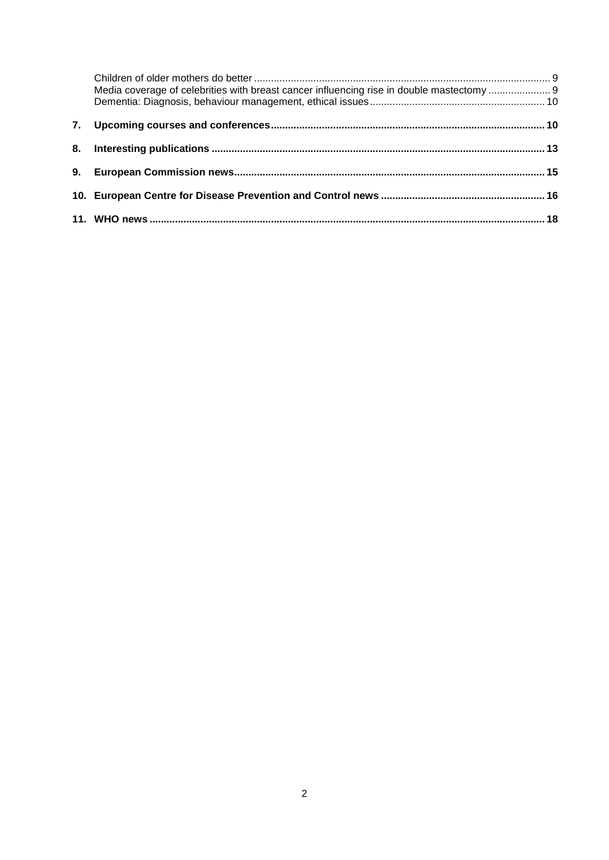| Media coverage of celebrities with breast cancer influencing rise in double mastectomy |  |
|----------------------------------------------------------------------------------------|--|
|                                                                                        |  |
|                                                                                        |  |
|                                                                                        |  |
|                                                                                        |  |
|                                                                                        |  |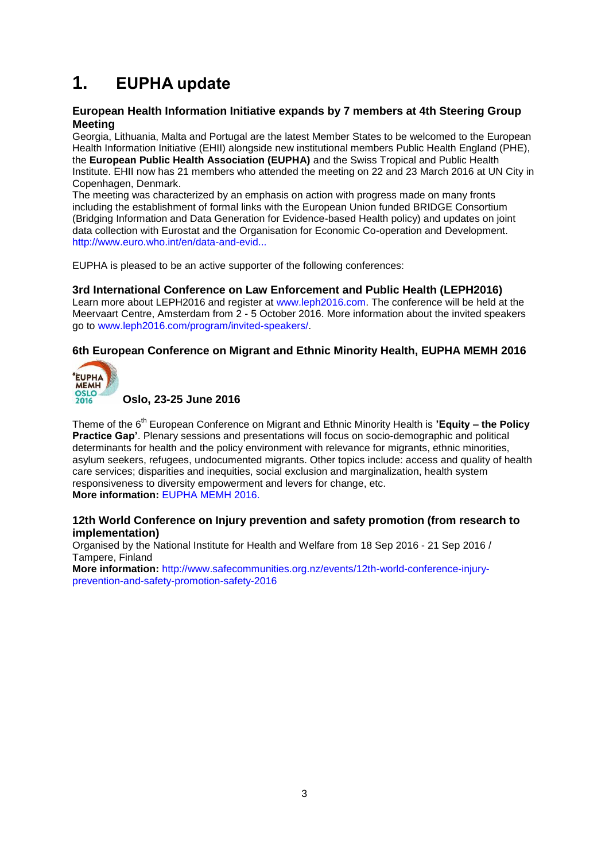# <span id="page-2-0"></span>**1. EUPHA update**

## <span id="page-2-1"></span>**European Health Information Initiative expands by 7 members at 4th Steering Group Meeting**

Georgia, Lithuania, Malta and Portugal are the latest Member States to be welcomed to the European Health Information Initiative (EHII) alongside new institutional members Public Health England (PHE), the **European Public Health Association (EUPHA)** and the Swiss Tropical and Public Health Institute. EHII now has 21 members who attended the meeting on 22 and 23 March 2016 at UN City in Copenhagen, Denmark.

The meeting was characterized by an emphasis on action with progress made on many fronts including the establishment of formal links with the European Union funded BRIDGE Consortium (Bridging Information and Data Generation for Evidence-based Health policy) and updates on joint data collection with Eurostat and the Organisation for Economic Co-operation and Development. [http://www.euro.who.int/en/data-and-evid...](http://www.euro.who.int/en/data-and-evidence/news/news/2016/04/european-health-information-initiative-expands-by-7-members-at-4th-steering-group-meeting)

EUPHA is pleased to be an active supporter of the following conferences:

## <span id="page-2-2"></span>**3rd International Conference on Law Enforcement and Public Health (LEPH2016)**

Learn more about LEPH2016 and register at [www.leph2016.com.](http://www.leph2016.com/) The conference will be held at the Meervaart Centre, Amsterdam from 2 - 5 October 2016. More information about the invited speakers go to [www.leph2016.com/program/invited-speakers/.](http://www.leph2016.com/program/invited-speakers/)

## <span id="page-2-3"></span>**6th European Conference on Migrant and Ethnic Minority Health, EUPHA MEMH 2016**



**Oslo, 23-25 June 2016**

Theme of the 6th European Conference on Migrant and Ethnic Minority Health is **'Equity – the Policy Practice Gap'**. Plenary sessions and presentations will focus on socio-demographic and political determinants for health and the policy environment with relevance for migrants, ethnic minorities, asylum seekers, refugees, undocumented migrants. Other topics include: access and quality of health care services; disparities and inequities, social exclusion and marginalization, health system responsiveness to diversity empowerment and levers for change, etc. **More information:** [EUPHA MEMH 2016.](http://eupha-migranthealthconference.com/)

## <span id="page-2-4"></span>**12th World Conference on Injury prevention and safety promotion (from research to implementation)**

Organised by the National Institute for Health and Welfare from 18 Sep 2016 - 21 Sep 2016 / Tampere, Finland

**More information:** [http://www.safecommunities.org.nz/events/12th-world-conference-injury](http://www.safecommunities.org.nz/events/12th-world-conference-injury-prevention-and-safety-promotion-safety-2016)[prevention-and-safety-promotion-safety-2016](http://www.safecommunities.org.nz/events/12th-world-conference-injury-prevention-and-safety-promotion-safety-2016)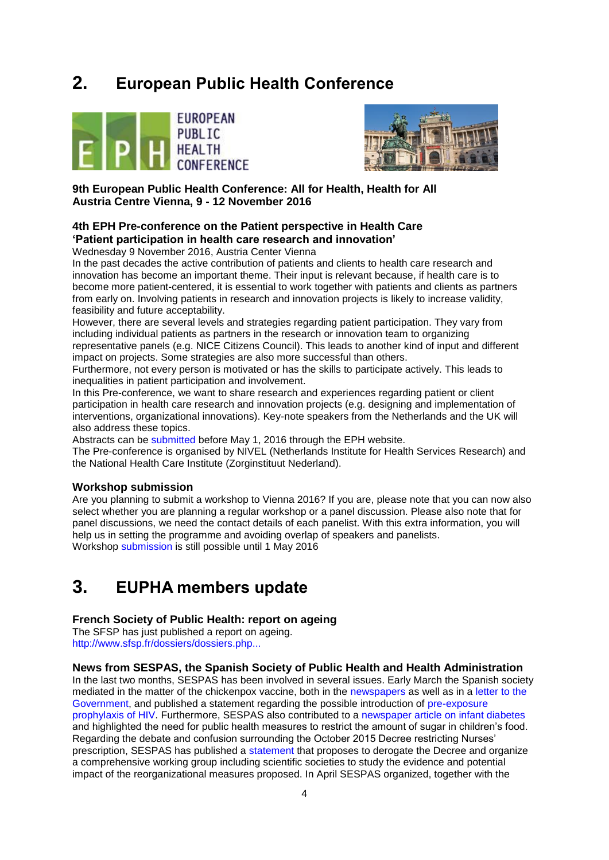## <span id="page-3-0"></span>**2. European Public Health Conference**





**9th European Public Health Conference: All for Health, Health for All Austria Centre Vienna, 9 - 12 November 2016**

## <span id="page-3-1"></span>**4th EPH Pre-conference on the Patient perspective in Health Care 'Patient participation in health care research and innovation'**

<span id="page-3-2"></span>Wednesday 9 November 2016, Austria Center Vienna

In the past decades the active contribution of patients and clients to health care research and innovation has become an important theme. Their input is relevant because, if health care is to become more patient-centered, it is essential to work together with patients and clients as partners from early on. Involving patients in research and innovation projects is likely to increase validity, feasibility and future acceptability.

However, there are several levels and strategies regarding patient participation. They vary from including individual patients as partners in the research or innovation team to organizing representative panels (e.g. NICE Citizens Council). This leads to another kind of input and different impact on projects. Some strategies are also more successful than others.

Furthermore, not every person is motivated or has the skills to participate actively. This leads to inequalities in patient participation and involvement.

In this Pre-conference, we want to share research and experiences regarding patient or client participation in health care research and innovation projects (e.g. designing and implementation of interventions, organizational innovations). Key-note speakers from the Netherlands and the UK will also address these topics.

Abstracts can be [submitted](https://ephconference.eu/abstract-workshop-submission-229) before May 1, 2016 through the EPH website.

The Pre-conference is organised by NIVEL (Netherlands Institute for Health Services Research) and the National Health Care Institute (Zorginstituut Nederland).

## <span id="page-3-3"></span>**Workshop submission**

Are you planning to submit a workshop to Vienna 2016? If you are, please note that you can now also select whether you are planning a regular workshop or a panel discussion. Please also note that for panel discussions, we need the contact details of each panelist. With this extra information, you will help us in setting the programme and avoiding overlap of speakers and panelists. Workshop [submission](https://ephconference.eu/abstract-workshop-submission-229) is still possible until 1 May 2016

## <span id="page-3-4"></span>**3. EUPHA members update**

## <span id="page-3-5"></span>**French Society of Public Health: report on ageing**

The SFSP has just published a report on ageing. [http://www.sfsp.fr/dossiers/dossiers.php...](http://www.sfsp.fr/dossiers/dossiers.php?cdossier=88)

## <span id="page-3-6"></span>**News from SESPAS, the Spanish Society of Public Health and Health Administration**

In the last two months, SESPAS has been involved in several issues. Early March the Spanish society mediated in the matter of the chickenpox vaccine, both in the [newspapers](http://www.elmundo.es/salud/2016/03/09/56df3601268e3e1c228b46b4.html) as well as in a [letter to the](http://www.sespas.es/adminweb/uploads/docs/Carta_Vicepresidencia2015.PDF)  [Government,](http://www.sespas.es/adminweb/uploads/docs/Carta_Vicepresidencia2015.PDF) and published a statement regarding the possible introduction of [pre-exposure](http://www.sespas.es/adminweb/uploads/docs/Posicionamiento%20SESPAS%20ProfilaxisPreExposicionVIH.PDF)  [prophylaxis of HIV.](http://www.sespas.es/adminweb/uploads/docs/Posicionamiento%20SESPAS%20ProfilaxisPreExposicionVIH.PDF) Furthermore, SESPAS also contributed to a [newspaper article on infant diabetes](http://elpais.com/elpais/2016/03/09/ciencia/1457543161_873075.html) and highlighted the need for public health measures to restrict the amount of sugar in children's food. Regarding the debate and confusion surrounding the October 2015 Decree restricting Nurses' prescription, SESPAS has published a [statement](http://www.sespas.es/adminweb/uploads/docs/Posicionamiento%20SESPAS%20Prescripcion%20enfermera.pdf) that proposes to derogate the Decree and organize a comprehensive working group including scientific societies to study the evidence and potential impact of the reorganizational measures proposed. In April SESPAS organized, together with the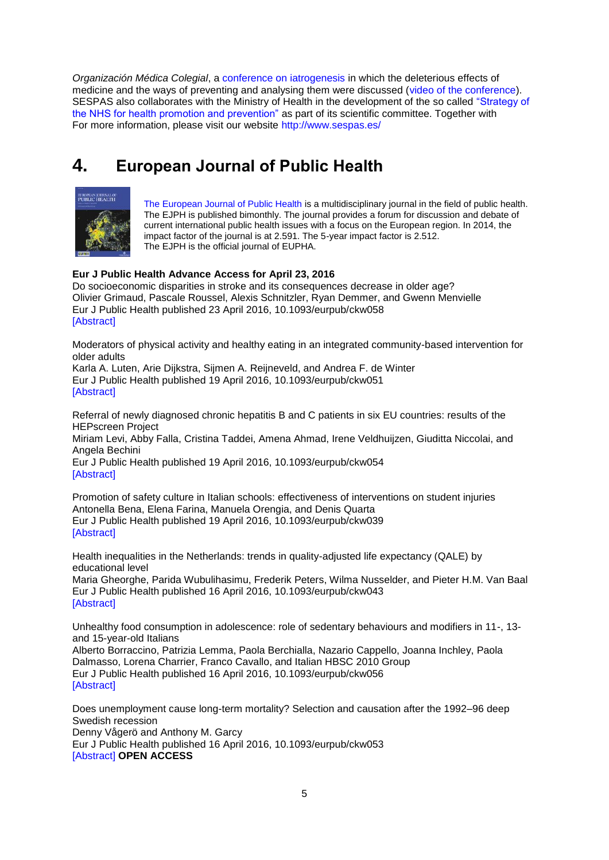*Organización Médica Colegial*, a [conference on iatrogenesis](http://www.cgcom.es/noticias/2016/04/16_04_04_jornada_iatrogenia) in which the deleterious effects of medicine and the ways of preventing and analysing them were discussed [\(video of the conference\)](http://euphapedia.eupha.org/newsletter/https:/youtu.be/FJEtN1-FE44). SESPAS also collaborates with the Ministry of Health in the development of the so called "Strategy of [the NHS for health promotion and prevention"](http://www.msssi.gob.es/profesionales/saludPublica/prevPromocion/Estrategia/estrategiaPromocionyPrevencion.htm) as part of its scientific committee. Together with For more information, please visit our website<http://www.sespas.es/>

# <span id="page-4-0"></span>**4. European Journal of Public Health**



[The European Journal of Public Health](http://eurpub.oxfordjournals.org/) is a multidisciplinary journal in the field of public health. The EJPH is published bimonthly. The journal provides a forum for discussion and debate of current international public health issues with a focus on the European region. In 2014, the impact factor of the journal is at 2.591. The 5-year impact factor is 2.512. The EJPH is the official journal of EUPHA.

## **Eur J Public Health Advance Access for April 23, 2016**

Do socioeconomic disparities in stroke and its consequences decrease in older age? Olivier Grimaud, Pascale Roussel, Alexis Schnitzler, Ryan Demmer, and Gwenn Menvielle Eur J Public Health published 23 April 2016, 10.1093/eurpub/ckw058 [\[Abstract\]](http://eurpub.oxfordjournals.org/content/early/2016/04/22/eurpub.ckw058.abstract?papetoc)

Moderators of physical activity and healthy eating in an integrated community-based intervention for older adults

Karla A. Luten, Arie Dijkstra, Sijmen A. Reijneveld, and Andrea F. de Winter Eur J Public Health published 19 April 2016, 10.1093/eurpub/ckw051 [\[Abstract\]](http://eurpub.oxfordjournals.org/content/early/2016/04/18/eurpub.ckw051.abstract?papetoc)

Referral of newly diagnosed chronic hepatitis B and C patients in six EU countries: results of the HEPscreen Project

Miriam Levi, Abby Falla, Cristina Taddei, Amena Ahmad, Irene Veldhuijzen, Giuditta Niccolai, and Angela Bechini

Eur J Public Health published 19 April 2016, 10.1093/eurpub/ckw054 [\[Abstract\]](http://eurpub.oxfordjournals.org/content/early/2016/04/18/eurpub.ckw054.abstract?papetoc)

Promotion of safety culture in Italian schools: effectiveness of interventions on student injuries Antonella Bena, Elena Farina, Manuela Orengia, and Denis Quarta Eur J Public Health published 19 April 2016, 10.1093/eurpub/ckw039 [\[Abstract\]](http://eurpub.oxfordjournals.org/content/early/2016/04/18/eurpub.ckw039.abstract?papetoc)

Health inequalities in the Netherlands: trends in quality-adjusted life expectancy (QALE) by educational level

Maria Gheorghe, Parida Wubulihasimu, Frederik Peters, Wilma Nusselder, and Pieter H.M. Van Baal Eur J Public Health published 16 April 2016, 10.1093/eurpub/ckw043 [\[Abstract\]](http://eurpub.oxfordjournals.org/content/early/2016/04/15/eurpub.ckw043.abstract?papetoc)

Unhealthy food consumption in adolescence: role of sedentary behaviours and modifiers in 11-, 13 and 15-year-old Italians Alberto Borraccino, Patrizia Lemma, Paola Berchialla, Nazario Cappello, Joanna Inchley, Paola Dalmasso, Lorena Charrier, Franco Cavallo, and Italian HBSC 2010 Group Eur J Public Health published 16 April 2016, 10.1093/eurpub/ckw056 [\[Abstract\]](http://eurpub.oxfordjournals.org/content/early/2016/04/15/eurpub.ckw056.abstract?papetoc)

Does unemployment cause long-term mortality? Selection and causation after the 1992–96 deep Swedish recession Denny Vågerö and Anthony M. Garcy Eur J Public Health published 16 April 2016, 10.1093/eurpub/ckw053 [\[Abstract\]](http://eurpub.oxfordjournals.org/content/early/2016/04/15/eurpub.ckw053.abstract?papetoc) **OPEN ACCESS**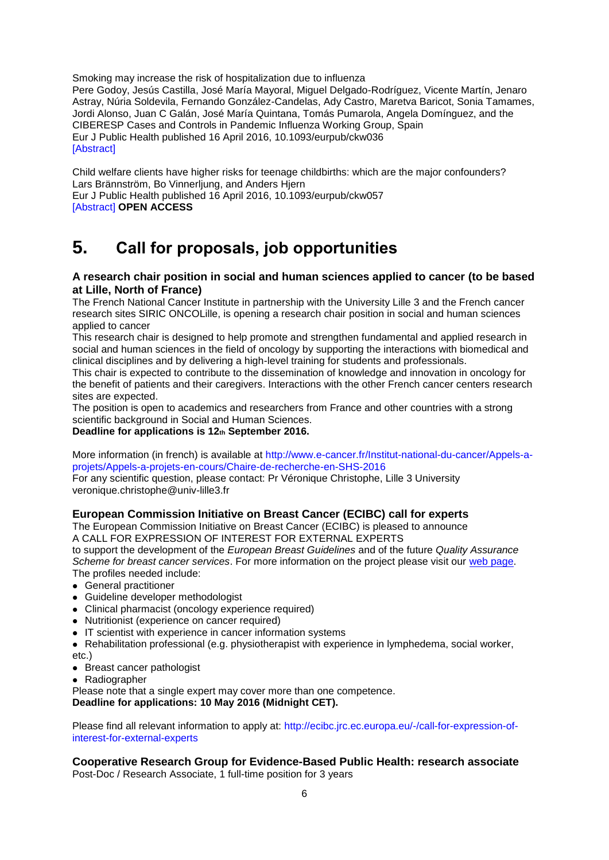Smoking may increase the risk of hospitalization due to influenza Pere Godoy, Jesús Castilla, José María Mayoral, Miguel Delgado-Rodríguez, Vicente Martín, Jenaro Astray, Núria Soldevila, Fernando González-Candelas, Ady Castro, Maretva Baricot, Sonia Tamames, Jordi Alonso, Juan C Galán, José María Quintana, Tomás Pumarola, Angela Domínguez, and the CIBERESP Cases and Controls in Pandemic Influenza Working Group, Spain Eur J Public Health published 16 April 2016, 10.1093/eurpub/ckw036 [\[Abstract\]](http://eurpub.oxfordjournals.org/content/early/2016/04/15/eurpub.ckw036.abstract?papetoc)

Child welfare clients have higher risks for teenage childbirths: which are the major confounders? Lars Brännström, Bo Vinnerljung, and Anders Hjern Eur J Public Health published 16 April 2016, 10.1093/eurpub/ckw057 [\[Abstract\]](http://eurpub.oxfordjournals.org/content/early/2016/04/15/eurpub.ckw057.abstract?papetoc) **OPEN ACCESS**

# <span id="page-5-0"></span>**5. Call for proposals, job opportunities**

## <span id="page-5-1"></span>**A research chair position in social and human sciences applied to cancer (to be based at Lille, North of France)**

The French National Cancer Institute in partnership with the University Lille 3 and the French cancer research sites SIRIC ONCOLille, is opening a research chair position in social and human sciences applied to cancer

This research chair is designed to help promote and strengthen fundamental and applied research in social and human sciences in the field of oncology by supporting the interactions with biomedical and clinical disciplines and by delivering a high-level training for students and professionals.

This chair is expected to contribute to the dissemination of knowledge and innovation in oncology for the benefit of patients and their caregivers. Interactions with the other French cancer centers research sites are expected.

The position is open to academics and researchers from France and other countries with a strong scientific background in Social and Human Sciences.

**Deadline for applications is 12th September 2016.**

More information (in french) is available at [http://www.e-cancer.fr/Institut-national-du-cancer/Appels-a](http://www.e-cancer.fr/Institut-national-du-cancer/Appels-a-projets/Appels-a-projets-en-cours/Chaire-de-recherche-en-SHS-2016)[projets/Appels-a-projets-en-cours/Chaire-de-recherche-en-SHS-2016](http://www.e-cancer.fr/Institut-national-du-cancer/Appels-a-projets/Appels-a-projets-en-cours/Chaire-de-recherche-en-SHS-2016)

For any scientific question, please contact: Pr Véronique Christophe, Lille 3 University veronique.christophe@univ-lille3.fr

## <span id="page-5-2"></span>**European Commission Initiative on Breast Cancer (ECIBC) call for experts**

The European Commission Initiative on Breast Cancer (ECIBC) is pleased to announce A CALL FOR EXPRESSION OF INTEREST FOR EXTERNAL EXPERTS

to support the development of the *European Breast Guidelines* and of the future *Quality Assurance Scheme for breast cancer services*. For more information on the project please visit our [web page.](http://ecibc.jrc.ec.europa.eu/home) The profiles needed include:

- General practitioner
- Guideline developer methodologist
- Clinical pharmacist (oncology experience required)
- Nutritionist (experience on cancer required)
- IT scientist with experience in cancer information systems

Rehabilitation professional (e.g. physiotherapist with experience in lymphedema, social worker, etc.)

- Breast cancer pathologist
- Radiographer

Please note that a single expert may cover more than one competence. **Deadline for applications: 10 May 2016 (Midnight CET).**

Please find all relevant information to apply at: [http://ecibc.jrc.ec.europa.eu/-/call-for-expression-of](http://ecibc.jrc.ec.europa.eu/-/call-for-expression-of-interest-for-external-experts)[interest-for-external-experts](http://ecibc.jrc.ec.europa.eu/-/call-for-expression-of-interest-for-external-experts)

## <span id="page-5-3"></span>**Cooperative Research Group for Evidence-Based Public Health: research associate**

Post-Doc / Research Associate, 1 full-time position for 3 years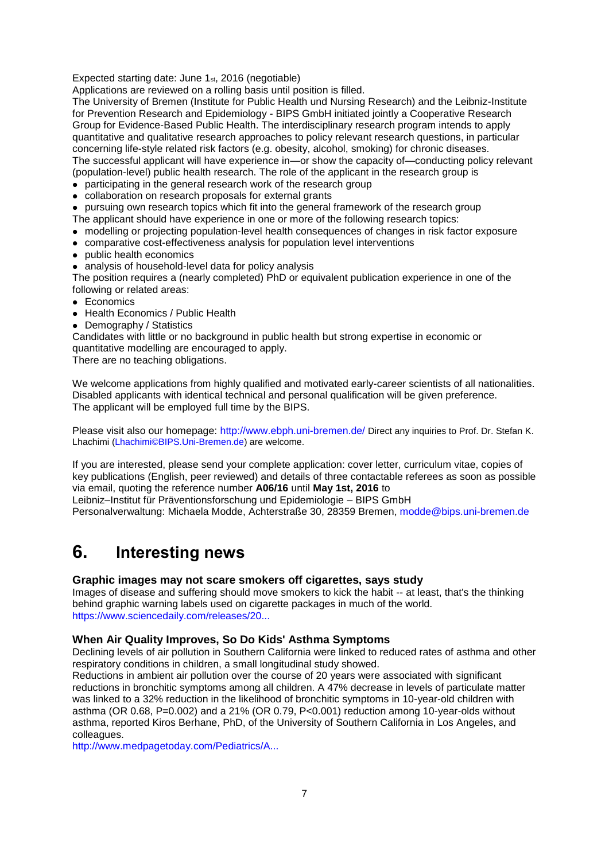Expected starting date: June 1st, 2016 (negotiable)

Applications are reviewed on a rolling basis until position is filled.

The University of Bremen (Institute for Public Health und Nursing Research) and the Leibniz-Institute for Prevention Research and Epidemiology - BIPS GmbH initiated jointly a Cooperative Research Group for Evidence-Based Public Health. The interdisciplinary research program intends to apply quantitative and qualitative research approaches to policy relevant research questions, in particular concerning life-style related risk factors (e.g. obesity, alcohol, smoking) for chronic diseases. The successful applicant will have experience in—or show the capacity of—conducting policy relevant (population-level) public health research. The role of the applicant in the research group is

- participating in the general research work of the research group
- collaboration on research proposals for external grants
- pursuing own research topics which fit into the general framework of the research group
- The applicant should have experience in one or more of the following research topics:
- modelling or projecting population-level health consequences of changes in risk factor exposure
- comparative cost-effectiveness analysis for population level interventions
- public health economics
- analysis of household-level data for policy analysis

The position requires a (nearly completed) PhD or equivalent publication experience in one of the following or related areas:

- Economics
- Health Economics / Public Health
- Demography / Statistics

Candidates with little or no background in public health but strong expertise in economic or quantitative modelling are encouraged to apply.

There are no teaching obligations.

We welcome applications from highly qualified and motivated early-career scientists of all nationalities. Disabled applicants with identical technical and personal qualification will be given preference. The applicant will be employed full time by the BIPS.

Please visit also our homepage: <http://www.ebph.uni-bremen.de/> Direct any inquiries to Prof. Dr. Stefan K. Lhachimi [\(Lhachimi©BIPS.Uni-Bremen.de\)](javascript:linkTo_UnCryptMailto() are welcome.

If you are interested, please send your complete application: cover letter, curriculum vitae, copies of key publications (English, peer reviewed) and details of three contactable referees as soon as possible via email, quoting the reference number **A06/16** until **May 1st, 2016** to Leibniz–Institut für Präventionsforschung und Epidemiologie – BIPS GmbH

Personalverwaltung: Michaela Modde, Achterstraße 30, 28359 Bremen, [modde@bips.uni-bremen.de](mailto:modde@bips.uni-bremen.de)

## <span id="page-6-0"></span>**6. Interesting news**

## <span id="page-6-1"></span>**Graphic images may not scare smokers off cigarettes, says study**

Images of disease and suffering should move smokers to kick the habit -- at least, that's the thinking behind graphic warning labels used on cigarette packages in much of the world. [https://www.sciencedaily.com/releases/20...](http://euphapedia.eupha.org/newsletter/https:/www.sciencedaily.com/releases/2016/02/160222144548.htm?utm_source=feedburner&utm_medium=email&utm_campaign=Feed%3A+sciencedaily%2Fscience_society%2Fpublic_health+%28Public+Health+News+--+Scien)

## <span id="page-6-2"></span>**When Air Quality Improves, So Do Kids' Asthma Symptoms**

Declining levels of air pollution in Southern California were linked to reduced rates of asthma and other respiratory conditions in children, a small longitudinal study showed.

Reductions in ambient air pollution over the course of 20 years were associated with significant reductions in bronchitic symptoms among all children. A 47% decrease in levels of particulate matter was linked to a 32% reduction in the likelihood of bronchitic symptoms in 10-year-old children with asthma (OR 0.68, P=0.002) and a 21% (OR 0.79, P<0.001) reduction among 10-year-olds without asthma, reported Kiros Berhane, PhD, of the University of Southern California in Los Angeles, and colleagues.

[http://www.medpagetoday.com/Pediatrics/A...](http://www.medpagetoday.com/Pediatrics/Asthma/57334)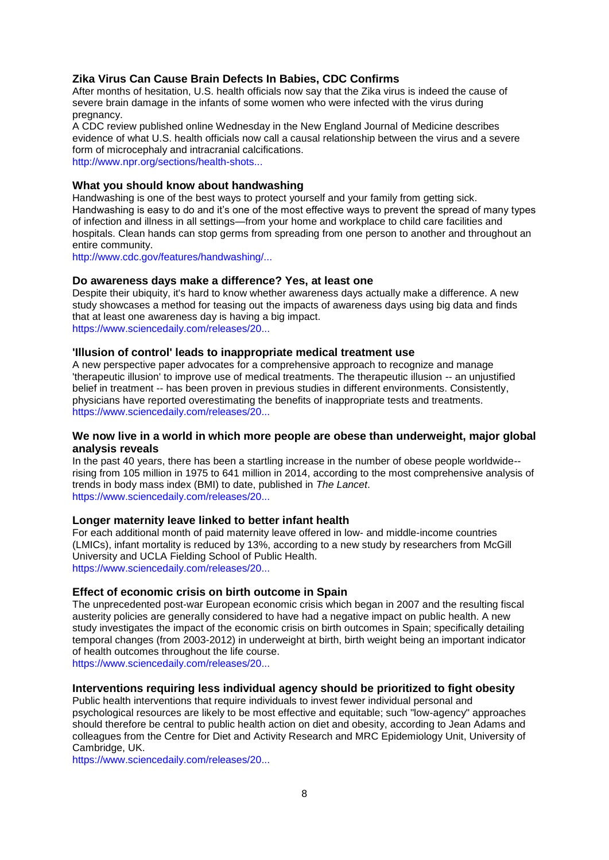## <span id="page-7-0"></span>**Zika Virus Can Cause Brain Defects In Babies, CDC Confirms**

After months of hesitation, U.S. health officials now say that the Zika virus is indeed the cause of severe brain damage in the infants of some women who were infected with the virus during pregnancy.

A CDC review published online Wednesday in the New England Journal of Medicine describes evidence of what U.S. health officials now call a causal relationship between the virus and a severe form of microcephaly and intracranial calcifications.

[http://www.npr.org/sections/health-shots...](http://www.npr.org/sections/health-shots/2016/04/13/474112727/cdc-confirms-zika-is-the-cause-of-severe-brain-defects-at-birth?utm_campaign=KHN%3A+First+Edition&utm_source=hs_email&utm_medium=email&utm)

## <span id="page-7-1"></span>**What you should know about handwashing**

Handwashing is one of the best ways to protect yourself and your family from getting sick. Handwashing is easy to do and it's one of the most effective ways to prevent the spread of many types of infection and illness in all settings—from your home and workplace to child care facilities and hospitals. Clean hands can stop germs from spreading from one person to another and throughout an entire community.

[http://www.cdc.gov/features/handwashing/...](http://www.cdc.gov/features/handwashing/index.html)

## <span id="page-7-2"></span>**Do awareness days make a difference? Yes, at least one**

Despite their ubiquity, it's hard to know whether awareness days actually make a difference. A new study showcases a method for teasing out the impacts of awareness days using big data and finds that at least one awareness day is having a big impact. [https://www.sciencedaily.com/releases/20...](http://euphapedia.eupha.org/newsletter/https:/www.sciencedaily.com/releases/2016/03/160331082503.htm?utm_source=feedburner&utm_medium=email&utm_campaign=Feed%3A+sciencedaily%2Fscience_society%2Fpublic_health+%28Public+Health+News+--+Scien)

#### <span id="page-7-3"></span>**'Illusion of control' leads to inappropriate medical treatment use**

A new perspective paper advocates for a comprehensive approach to recognize and manage 'therapeutic illusion' to improve use of medical treatments. The therapeutic illusion -- an unjustified belief in treatment -- has been proven in previous studies in different environments. Consistently, physicians have reported overestimating the benefits of inappropriate tests and treatments. [https://www.sciencedaily.com/releases/20...](http://euphapedia.eupha.org/newsletter/https:/www.sciencedaily.com/releases/2016/03/160330184242.htm?utm_source=feedburner&utm_medium=email&utm_campaign=Feed%3A+sciencedaily%2Fscience_society%2Fpublic_health+%28Public+Health+News+--+Scien)

## <span id="page-7-4"></span>**We now live in a world in which more people are obese than underweight, major global analysis reveals**

In the past 40 years, there has been a startling increase in the number of obese people worldwide- rising from 105 million in 1975 to 641 million in 2014, according to the most comprehensive analysis of trends in body mass index (BMI) to date, published in *The Lancet*. [https://www.sciencedaily.com/releases/20...](http://euphapedia.eupha.org/newsletter/https:/www.sciencedaily.com/releases/2016/04/160401074410.htm?utm_source=feedburner&utm_medium=email&utm_campaign=Feed%3A+sciencedaily%2Fscience_society%2Fpublic_health+%28Public+Health+News+--+Scien)

#### <span id="page-7-5"></span>**Longer maternity leave linked to better infant health**

For each additional month of paid maternity leave offered in low- and middle-income countries (LMICs), infant mortality is reduced by 13%, according to a new study by researchers from McGill University and UCLA Fielding School of Public Health. [https://www.sciencedaily.com/releases/20...](http://euphapedia.eupha.org/newsletter/https:/www.sciencedaily.com/releases/2016/03/160330123502.htm?utm_source=feedburner&utm_medium=email&utm_campaign=Feed%3A+sciencedaily%2Fscience_society%2Fpublic_health+%28Public+Health+News+--+Scien)

## <span id="page-7-6"></span>**Effect of economic crisis on birth outcome in Spain**

The unprecedented post-war European economic crisis which began in 2007 and the resulting fiscal austerity policies are generally considered to have had a negative impact on public health. A new study investigates the impact of the economic crisis on birth outcomes in Spain; specifically detailing temporal changes (from 2003-2012) in underweight at birth, birth weight being an important indicator of health outcomes throughout the life course.

[https://www.sciencedaily.com/releases/20...](http://euphapedia.eupha.org/newsletter/https:/www.sciencedaily.com/releases/2016/04/160405093456.htm?utm_source=feedburner&utm_medium=email&utm_campaign=Feed%3A+sciencedaily%2Fscience_society%2Fpublic_health+%28Public+Health+News+--+Scien)

## <span id="page-7-7"></span>**Interventions requiring less individual agency should be prioritized to fight obesity**

Public health interventions that require individuals to invest fewer individual personal and psychological resources are likely to be most effective and equitable; such "low-agency" approaches should therefore be central to public health action on diet and obesity, according to Jean Adams and colleagues from the Centre for Diet and Activity Research and MRC Epidemiology Unit, University of Cambridge, UK.

[https://www.sciencedaily.com/releases/20...](http://euphapedia.eupha.org/newsletter/https:/www.sciencedaily.com/releases/2016/04/160405161134.htm?utm_source=feedburner&utm_medium=email&utm_campaign=Feed%3A+sciencedaily%2Fscience_society%2Fpublic_health+%28Public+Health+News+--+Scien)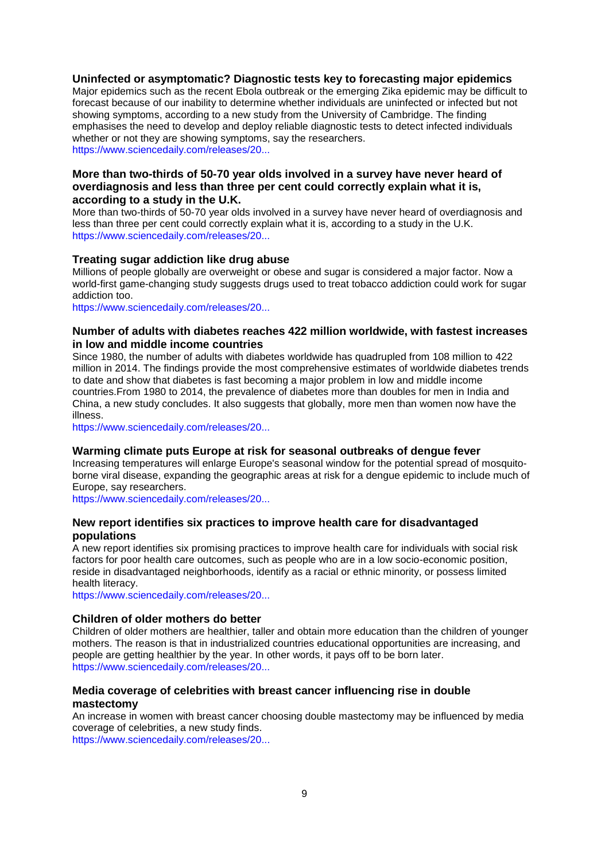## <span id="page-8-0"></span>**Uninfected or asymptomatic? Diagnostic tests key to forecasting major epidemics**

Major epidemics such as the recent Ebola outbreak or the emerging Zika epidemic may be difficult to forecast because of our inability to determine whether individuals are uninfected or infected but not showing symptoms, according to a new study from the University of Cambridge. The finding emphasises the need to develop and deploy reliable diagnostic tests to detect infected individuals whether or not they are showing symptoms, say the researchers. [https://www.sciencedaily.com/releases/20...](http://euphapedia.eupha.org/newsletter/https:/www.sciencedaily.com/releases/2016/04/160405161131.htm?utm_source=feedburner&utm_medium=email&utm_campaign=Feed%3A+sciencedaily%2Fscience_society%2Fpublic_health+%28Public+Health+News+--+Scien)

## <span id="page-8-1"></span>**More than two-thirds of 50-70 year olds involved in a survey have never heard of overdiagnosis and less than three per cent could correctly explain what it is, according to a study in the U.K.**

More than two-thirds of 50-70 year olds involved in a survey have never heard of overdiagnosis and less than three per cent could correctly explain what it is, according to a study in the U.K. [https://www.sciencedaily.com/releases/20...](http://euphapedia.eupha.org/newsletter/https:/www.sciencedaily.com/releases/2016/04/160406202535.htm?utm_source=feedburner&utm_medium=email&utm_campaign=Feed%3A+sciencedaily%2Fscience_society%2Fpublic_health+%28Public+Health+News+--+Scien)

## <span id="page-8-2"></span>**Treating sugar addiction like drug abuse**

Millions of people globally are overweight or obese and sugar is considered a major factor. Now a world-first game-changing study suggests drugs used to treat tobacco addiction could work for sugar addiction too.

[https://www.sciencedaily.com/releases/20...](http://euphapedia.eupha.org/newsletter/https:/www.sciencedaily.com/releases/2016/04/160407111828.htm?utm_source=feedburner&utm_medium=email&utm_campaign=Feed%3A+sciencedaily%2Fscience_society%2Fpublic_health+%28Public+Health+News+--+Scien)

## <span id="page-8-3"></span>**Number of adults with diabetes reaches 422 million worldwide, with fastest increases in low and middle income countries**

Since 1980, the number of adults with diabetes worldwide has quadrupled from 108 million to 422 million in 2014. The findings provide the most comprehensive estimates of worldwide diabetes trends to date and show that diabetes is fast becoming a major problem in low and middle income countries.From 1980 to 2014, the prevalence of diabetes more than doubles for men in India and China, a new study concludes. It also suggests that globally, more men than women now have the illness.

[https://www.sciencedaily.com/releases/20...](http://euphapedia.eupha.org/newsletter/https:/www.sciencedaily.com/releases/2016/04/160406074921.htm?utm_source=feedburner&utm_medium=email&utm_campaign=Feed%3A+sciencedaily%2Fscience_society%2Fpublic_health+%28Public+Health+News+--+Scien)

## <span id="page-8-4"></span>**Warming climate puts Europe at risk for seasonal outbreaks of dengue fever**

Increasing temperatures will enlarge Europe's seasonal window for the potential spread of mosquitoborne viral disease, expanding the geographic areas at risk for a dengue epidemic to include much of Europe, say researchers.

[https://www.sciencedaily.com/releases/20...](http://euphapedia.eupha.org/newsletter/https:/www.sciencedaily.com/releases/2016/04/160406124746.htm?utm_source=feedburner&utm_medium=email&utm_campaign=Feed%3A+sciencedaily%2Fscience_society%2Fpublic_health+%28Public+Health+News+--+Scien)

## <span id="page-8-5"></span>**New report identifies six practices to improve health care for disadvantaged populations**

A new report identifies six promising practices to improve health care for individuals with social risk factors for poor health care outcomes, such as people who are in a low socio-economic position, reside in disadvantaged neighborhoods, identify as a racial or ethnic minority, or possess limited health literacy.

[https://www.sciencedaily.com/releases/20...](http://euphapedia.eupha.org/newsletter/https:/www.sciencedaily.com/releases/2016/04/160407132654.htm?utm_source=feedburner&utm_medium=email&utm_campaign=Feed%3A+sciencedaily%2Fscience_society%2Fpublic_health+%28Public+Health+News+--+Scien)

## <span id="page-8-6"></span>**Children of older mothers do better**

Children of older mothers are healthier, taller and obtain more education than the children of younger mothers. The reason is that in industrialized countries educational opportunities are increasing, and people are getting healthier by the year. In other words, it pays off to be born later. [https://www.sciencedaily.com/releases/20...](http://euphapedia.eupha.org/newsletter/https:/www.sciencedaily.com/releases/2016/04/160412104810.htm?utm_source=feedburner&utm_medium=email&utm_campaign=Feed%3A+sciencedaily%2Fscience_society%2Fpublic_health+%28Public+Health+News+--+Scien)

## <span id="page-8-7"></span>**Media coverage of celebrities with breast cancer influencing rise in double mastectomy**

An increase in women with breast cancer choosing double mastectomy may be influenced by media coverage of celebrities, a new study finds. [https://www.sciencedaily.com/releases/20...](http://euphapedia.eupha.org/newsletter/https:/www.sciencedaily.com/releases/2016/04/160419130135.htm?utm_source=feedburner&utm_medium=email&utm_campaign=Feed%3A+sciencedaily%2Fscience_society%2Fpublic_health+%28Public+Health+News+--+Scien)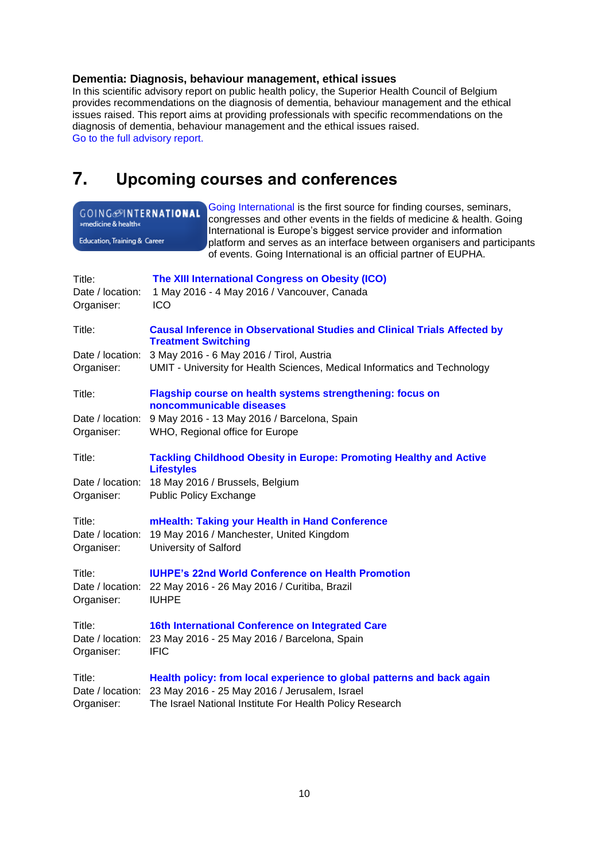## <span id="page-9-0"></span>**Dementia: Diagnosis, behaviour management, ethical issues**

In this scientific advisory report on public health policy, the Superior Health Council of Belgium provides recommendations on the diagnosis of dementia, behaviour management and the ethical issues raised. This report aims at providing professionals with specific recommendations on the diagnosis of dementia, behaviour management and the ethical issues raised. [Go to the full advisory report.](http://www.health.belgium.be/en/advisory-report-8890)

# <span id="page-9-1"></span>**7. Upcoming courses and conferences**

| GOING <sup>OINTERNATIONAL</sup><br>»medicine & health«<br>Education, Training & Career |                                                                                                                                                                                                                                                          | Going International is the first source for finding courses, seminars,<br>congresses and other events in the fields of medicine & health. Going<br>International is Europe's biggest service provider and information<br>platform and serves as an interface between organisers and participants<br>of events. Going International is an official partner of EUPHA. |  |
|----------------------------------------------------------------------------------------|----------------------------------------------------------------------------------------------------------------------------------------------------------------------------------------------------------------------------------------------------------|---------------------------------------------------------------------------------------------------------------------------------------------------------------------------------------------------------------------------------------------------------------------------------------------------------------------------------------------------------------------|--|
| Title:<br>Date / location:<br>Organiser:                                               | ICO                                                                                                                                                                                                                                                      | The XIII International Congress on Obesity (ICO)<br>1 May 2016 - 4 May 2016 / Vancouver, Canada                                                                                                                                                                                                                                                                     |  |
| Title:<br>Organiser:                                                                   | <b>Causal Inference in Observational Studies and Clinical Trials Affected by</b><br><b>Treatment Switching</b><br>Date / location: 3 May 2016 - 6 May 2016 / Tirol, Austria<br>UMIT - University for Health Sciences, Medical Informatics and Technology |                                                                                                                                                                                                                                                                                                                                                                     |  |
| Title:<br>Organiser:                                                                   | Flagship course on health systems strengthening: focus on<br>noncommunicable diseases<br>Date / location: 9 May 2016 - 13 May 2016 / Barcelona, Spain<br>WHO, Regional office for Europe                                                                 |                                                                                                                                                                                                                                                                                                                                                                     |  |
| Title:<br>Organiser:                                                                   | <b>Lifestyles</b><br><b>Public Policy Exchange</b>                                                                                                                                                                                                       | <b>Tackling Childhood Obesity in Europe: Promoting Healthy and Active</b><br>Date / location: 18 May 2016 / Brussels, Belgium                                                                                                                                                                                                                                       |  |
| Title:<br>Organiser:                                                                   | <b>University of Salford</b>                                                                                                                                                                                                                             | mHealth: Taking your Health in Hand Conference<br>Date / location: 19 May 2016 / Manchester, United Kingdom                                                                                                                                                                                                                                                         |  |
| Title:<br>Organiser:<br><b>IUHPE</b>                                                   |                                                                                                                                                                                                                                                          | <b>IUHPE's 22nd World Conference on Health Promotion</b><br>Date / location: 22 May 2016 - 26 May 2016 / Curitiba, Brazil                                                                                                                                                                                                                                           |  |
| Title:<br>Date / location:<br>Organiser:                                               | <b>IFIC</b>                                                                                                                                                                                                                                              | 16th International Conference on Integrated Care<br>23 May 2016 - 25 May 2016 / Barcelona, Spain                                                                                                                                                                                                                                                                    |  |
| Title:<br>Organiser:                                                                   |                                                                                                                                                                                                                                                          | Health policy: from local experience to global patterns and back again<br>Date / location: 23 May 2016 - 25 May 2016 / Jerusalem, Israel<br>The Israel National Institute For Health Policy Research                                                                                                                                                                |  |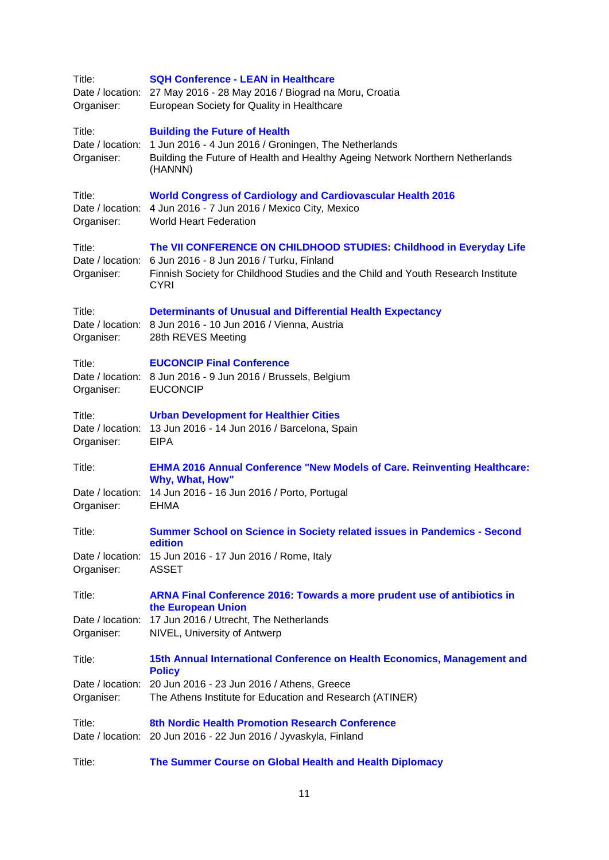| Title:<br>Organiser:                     | <b>SQH Conference - LEAN in Healthcare</b><br>Date / location: 27 May 2016 - 28 May 2016 / Biograd na Moru, Croatia<br>European Society for Quality in Healthcare                                                                   |
|------------------------------------------|-------------------------------------------------------------------------------------------------------------------------------------------------------------------------------------------------------------------------------------|
| Title:<br>Date / location:<br>Organiser: | <b>Building the Future of Health</b><br>1 Jun 2016 - 4 Jun 2016 / Groningen, The Netherlands<br>Building the Future of Health and Healthy Ageing Network Northern Netherlands<br>(HANNN)                                            |
| Title:<br>Organiser:                     | <b>World Congress of Cardiology and Cardiovascular Health 2016</b><br>Date / location: 4 Jun 2016 - 7 Jun 2016 / Mexico City, Mexico<br>World Heart Federation                                                                      |
| Title:<br>Organiser:                     | The VII CONFERENCE ON CHILDHOOD STUDIES: Childhood in Everyday Life<br>Date / location: 6 Jun 2016 - 8 Jun 2016 / Turku, Finland<br>Finnish Society for Childhood Studies and the Child and Youth Research Institute<br><b>CYRI</b> |
| Title:<br>Organiser:                     | <b>Determinants of Unusual and Differential Health Expectancy</b><br>Date / location: 8 Jun 2016 - 10 Jun 2016 / Vienna, Austria<br>28th REVES Meeting                                                                              |
| Title:<br>Organiser:                     | <b>EUCONCIP Final Conference</b><br>Date / location: 8 Jun 2016 - 9 Jun 2016 / Brussels, Belgium<br><b>EUCONCIP</b>                                                                                                                 |
| Title:<br>Organiser:                     | <b>Urban Development for Healthier Cities</b><br>Date / location: 13 Jun 2016 - 14 Jun 2016 / Barcelona, Spain<br><b>EIPA</b>                                                                                                       |
| Title:<br>Organiser:                     | <b>EHMA 2016 Annual Conference "New Models of Care. Reinventing Healthcare:</b><br>Why, What, How"<br>Date / location: 14 Jun 2016 - 16 Jun 2016 / Porto, Portugal<br><b>EHMA</b>                                                   |
| Title:<br>Date / location:<br>Organiser: | Summer School on Science in Society related issues in Pandemics - Second<br>edition<br>15 Jun 2016 - 17 Jun 2016 / Rome, Italy<br><b>ASSET</b>                                                                                      |
| Title:<br>Organiser:                     | ARNA Final Conference 2016: Towards a more prudent use of antibiotics in<br>the European Union<br>Date / location: 17 Jun 2016 / Utrecht, The Netherlands<br>NIVEL, University of Antwerp                                           |
| Title:                                   | 15th Annual International Conference on Health Economics, Management and<br><b>Policy</b>                                                                                                                                           |
| Organiser:                               | Date / location: 20 Jun 2016 - 23 Jun 2016 / Athens, Greece<br>The Athens Institute for Education and Research (ATINER)                                                                                                             |
| Title:                                   | 8th Nordic Health Promotion Research Conference<br>Date / location: 20 Jun 2016 - 22 Jun 2016 / Jyvaskyla, Finland                                                                                                                  |
| Title:                                   | The Summer Course on Global Health and Health Diplomacy                                                                                                                                                                             |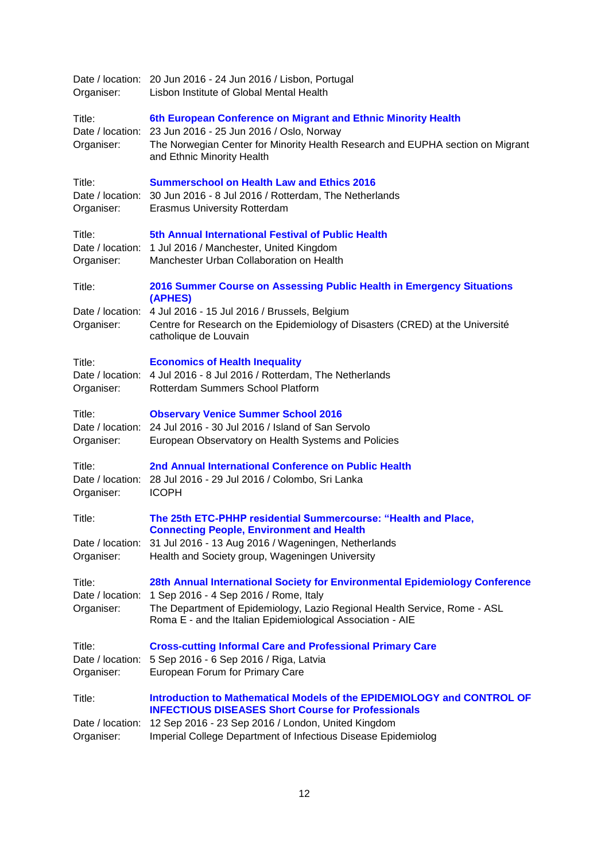| Organiser:                               | Date / location: 20 Jun 2016 - 24 Jun 2016 / Lisbon, Portugal<br>Lisbon Institute of Global Mental Health                                                                                                                                                       |
|------------------------------------------|-----------------------------------------------------------------------------------------------------------------------------------------------------------------------------------------------------------------------------------------------------------------|
| Title:<br>Date / location:<br>Organiser: | 6th European Conference on Migrant and Ethnic Minority Health<br>23 Jun 2016 - 25 Jun 2016 / Oslo, Norway<br>The Norwegian Center for Minority Health Research and EUPHA section on Migrant<br>and Ethnic Minority Health                                       |
| Title:<br>Organiser:                     | <b>Summerschool on Health Law and Ethics 2016</b><br>Date / location: 30 Jun 2016 - 8 Jul 2016 / Rotterdam, The Netherlands<br><b>Erasmus University Rotterdam</b>                                                                                              |
| Title:<br>Date / location:<br>Organiser: | 5th Annual International Festival of Public Health<br>1 Jul 2016 / Manchester, United Kingdom<br>Manchester Urban Collaboration on Health                                                                                                                       |
| Title:                                   | 2016 Summer Course on Assessing Public Health in Emergency Situations<br>(APHES)                                                                                                                                                                                |
| Organiser:                               | Date / location: 4 Jul 2016 - 15 Jul 2016 / Brussels, Belgium<br>Centre for Research on the Epidemiology of Disasters (CRED) at the Université<br>catholique de Louvain                                                                                         |
| Title:<br>Organiser:                     | <b>Economics of Health Inequality</b><br>Date / location: 4 Jul 2016 - 8 Jul 2016 / Rotterdam, The Netherlands<br>Rotterdam Summers School Platform                                                                                                             |
| Title:<br>Organiser:                     | <b>Observary Venice Summer School 2016</b><br>Date / location: 24 Jul 2016 - 30 Jul 2016 / Island of San Servolo<br>European Observatory on Health Systems and Policies                                                                                         |
| Title:<br>Organiser:                     | 2nd Annual International Conference on Public Health<br>Date / location: 28 Jul 2016 - 29 Jul 2016 / Colombo, Sri Lanka<br><b>ICOPH</b>                                                                                                                         |
| Title:                                   | The 25th ETC-PHHP residential Summercourse: "Health and Place,<br><b>Connecting People, Environment and Health</b>                                                                                                                                              |
| Organiser:                               | Date / location: 31 Jul 2016 - 13 Aug 2016 / Wageningen, Netherlands<br>Health and Society group, Wageningen University                                                                                                                                         |
| Title:<br>Date / location:<br>Organiser: | 28th Annual International Society for Environmental Epidemiology Conference<br>1 Sep 2016 - 4 Sep 2016 / Rome, Italy<br>The Department of Epidemiology, Lazio Regional Health Service, Rome - ASL<br>Roma E - and the Italian Epidemiological Association - AIE |
| Title:<br>Date / location:<br>Organiser: | <b>Cross-cutting Informal Care and Professional Primary Care</b><br>5 Sep 2016 - 6 Sep 2016 / Riga, Latvia<br>European Forum for Primary Care                                                                                                                   |
| Title:                                   | Introduction to Mathematical Models of the EPIDEMIOLOGY and CONTROL OF<br><b>INFECTIOUS DISEASES Short Course for Professionals</b>                                                                                                                             |
| Date / location:<br>Organiser:           | 12 Sep 2016 - 23 Sep 2016 / London, United Kingdom<br>Imperial College Department of Infectious Disease Epidemiolog                                                                                                                                             |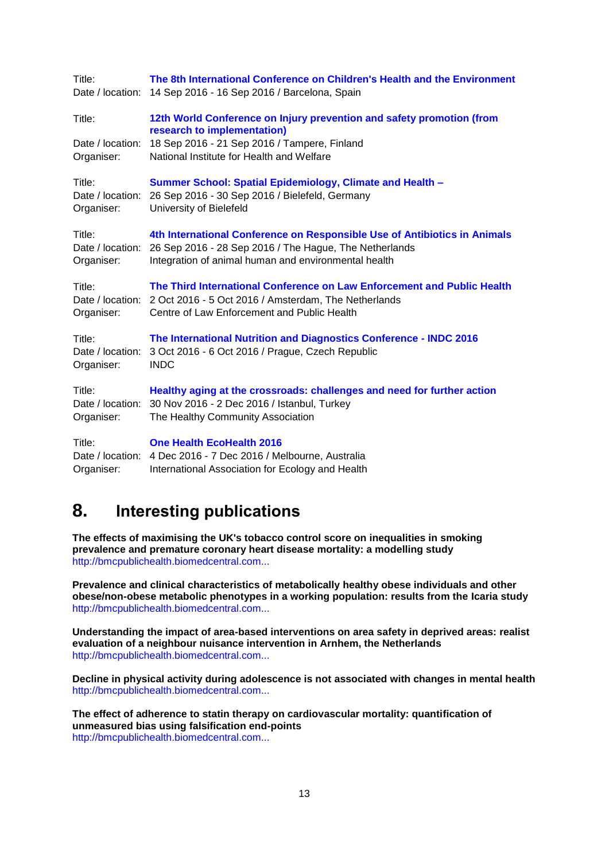| Title:               | The 8th International Conference on Children's Health and the Environment                                                                                                                       |
|----------------------|-------------------------------------------------------------------------------------------------------------------------------------------------------------------------------------------------|
| Date / location:     | 14 Sep 2016 - 16 Sep 2016 / Barcelona, Spain                                                                                                                                                    |
| Title:               | 12th World Conference on Injury prevention and safety promotion (from<br>research to implementation)                                                                                            |
| Date / location:     | 18 Sep 2016 - 21 Sep 2016 / Tampere, Finland                                                                                                                                                    |
| Organiser:           | National Institute for Health and Welfare                                                                                                                                                       |
| Title:               | <b>Summer School: Spatial Epidemiology, Climate and Health -</b>                                                                                                                                |
| Date / location:     | 26 Sep 2016 - 30 Sep 2016 / Bielefeld, Germany                                                                                                                                                  |
| Organiser:           | University of Bielefeld                                                                                                                                                                         |
| Title:               | 4th International Conference on Responsible Use of Antibiotics in Animals                                                                                                                       |
| Date / location:     | 26 Sep 2016 - 28 Sep 2016 / The Hague, The Netherlands                                                                                                                                          |
| Organiser:           | Integration of animal human and environmental health                                                                                                                                            |
| Title:<br>Organiser: | The Third International Conference on Law Enforcement and Public Health<br>Date / location: 2 Oct 2016 - 5 Oct 2016 / Amsterdam, The Netherlands<br>Centre of Law Enforcement and Public Health |
| Title:               | The International Nutrition and Diagnostics Conference - INDC 2016                                                                                                                              |
| Date / location:     | 3 Oct 2016 - 6 Oct 2016 / Prague, Czech Republic                                                                                                                                                |
| Organiser:           | <b>INDC</b>                                                                                                                                                                                     |
| Title:               | Healthy aging at the crossroads: challenges and need for further action                                                                                                                         |
| Date / location:     | 30 Nov 2016 - 2 Dec 2016 / Istanbul, Turkey                                                                                                                                                     |
| Organiser:           | The Healthy Community Association                                                                                                                                                               |
| Title:               | <b>One Health EcoHealth 2016</b>                                                                                                                                                                |
| Date / location:     | 4 Dec 2016 - 7 Dec 2016 / Melbourne, Australia                                                                                                                                                  |
| Organiser:           | International Association for Ecology and Health                                                                                                                                                |

## <span id="page-12-0"></span>**8. Interesting publications**

**The effects of maximising the UK's tobacco control score on inequalities in smoking prevalence and premature coronary heart disease mortality: a modelling study** [http://bmcpublichealth.biomedcentral.com...](http://bmcpublichealth.biomedcentral.com/articles/10.1186/s12889-016-2962-8)

**Prevalence and clinical characteristics of metabolically healthy obese individuals and other obese/non-obese metabolic phenotypes in a working population: results from the Icaria study** [http://bmcpublichealth.biomedcentral.com...](http://bmcpublichealth.biomedcentral.com/articles/10.1186/s12889-016-2921-4)

**Understanding the impact of area-based interventions on area safety in deprived areas: realist evaluation of a neighbour nuisance intervention in Arnhem, the Netherlands** [http://bmcpublichealth.biomedcentral.com...](http://bmcpublichealth.biomedcentral.com/articles/10.1186/s12889-016-2905-4)

**Decline in physical activity during adolescence is not associated with changes in mental health** [http://bmcpublichealth.biomedcentral.com...](http://bmcpublichealth.biomedcentral.com/articles/10.1186/s12889-016-2983-3)

**The effect of adherence to statin therapy on cardiovascular mortality: quantification of unmeasured bias using falsification end-points** [http://bmcpublichealth.biomedcentral.com...](http://bmcpublichealth.biomedcentral.com/articles/10.1186/s12889-016-2986-0)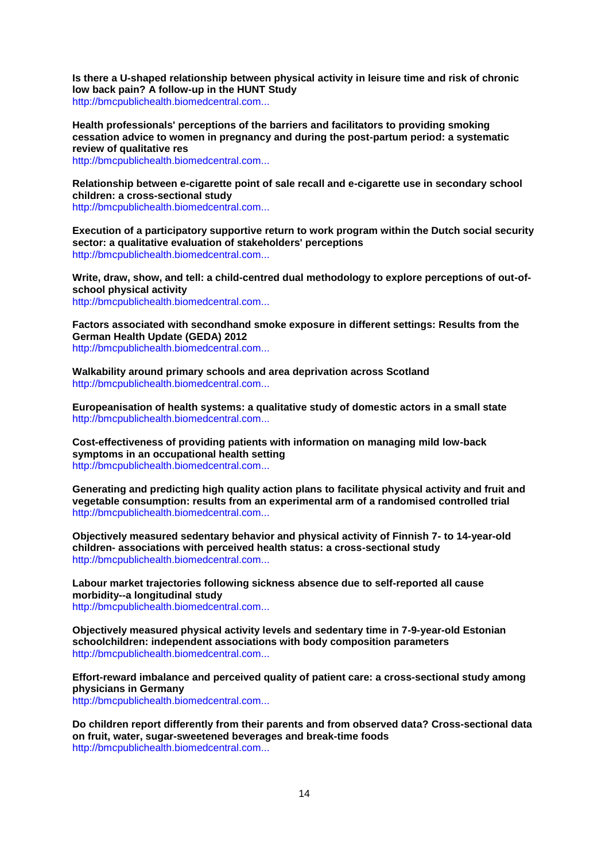**Is there a U-shaped relationship between physical activity in leisure time and risk of chronic low back pain? A follow-up in the HUNT Study** [http://bmcpublichealth.biomedcentral.com...](http://bmcpublichealth.biomedcentral.com/articles/10.1186/s12889-016-2970-8)

**Health professionals' perceptions of the barriers and facilitators to providing smoking cessation advice to women in pregnancy and during the post-partum period: a systematic review of qualitative res**

[http://bmcpublichealth.biomedcentral.com...](http://bmcpublichealth.biomedcentral.com/articles/10.1186/s12889-016-2961-9)

**Relationship between e-cigarette point of sale recall and e-cigarette use in secondary school children: a cross-sectional study**

[http://bmcpublichealth.biomedcentral.com...](http://bmcpublichealth.biomedcentral.com/articles/10.1186/s12889-016-2968-2)

**Execution of a participatory supportive return to work program within the Dutch social security sector: a qualitative evaluation of stakeholders' perceptions** [http://bmcpublichealth.biomedcentral.com...](http://bmcpublichealth.biomedcentral.com/articles/10.1186/s12889-016-2997-x)

**Write, draw, show, and tell: a child-centred dual methodology to explore perceptions of out-ofschool physical activity**

[http://bmcpublichealth.biomedcentral.com...](http://bmcpublichealth.biomedcentral.com/articles/10.1186/s12889-016-3005-1)

**Factors associated with secondhand smoke exposure in different settings: Results from the German Health Update (GEDA) 2012** [http://bmcpublichealth.biomedcentral.com...](http://bmcpublichealth.biomedcentral.com/articles/10.1186/s12889-016-3007-z)

**Walkability around primary schools and area deprivation across Scotland** [http://bmcpublichealth.biomedcentral.com...](http://bmcpublichealth.biomedcentral.com/articles/10.1186/s12889-016-2994-0)

**Europeanisation of health systems: a qualitative study of domestic actors in a small state** [http://bmcpublichealth.biomedcentral.com...](http://bmcpublichealth.biomedcentral.com/articles/10.1186/s12889-016-2909-0)

**Cost-effectiveness of providing patients with information on managing mild low-back symptoms in an occupational health setting** [http://bmcpublichealth.biomedcentral.com...](http://bmcpublichealth.biomedcentral.com/articles/10.1186/s12889-016-2974-4)

**Generating and predicting high quality action plans to facilitate physical activity and fruit and vegetable consumption: results from an experimental arm of a randomised controlled trial** [http://bmcpublichealth.biomedcentral.com...](http://bmcpublichealth.biomedcentral.com/articles/10.1186/s12889-016-2975-3)

**Objectively measured sedentary behavior and physical activity of Finnish 7- to 14-year-old children- associations with perceived health status: a cross-sectional study** [http://bmcpublichealth.biomedcentral.com...](http://bmcpublichealth.biomedcentral.com/articles/10.1186/s12889-016-3006-0)

**Labour market trajectories following sickness absence due to self-reported all cause morbidity--a longitudinal study** [http://bmcpublichealth.biomedcentral.com...](http://bmcpublichealth.biomedcentral.com/articles/10.1186/s12889-016-3017-x)

**Objectively measured physical activity levels and sedentary time in 7-9-year-old Estonian schoolchildren: independent associations with body composition parameters** [http://bmcpublichealth.biomedcentral.com...](http://bmcpublichealth.biomedcentral.com/articles/10.1186/s12889-016-3000-6)

**Effort-reward imbalance and perceived quality of patient care: a cross-sectional study among physicians in Germany**

[http://bmcpublichealth.biomedcentral.com...](http://bmcpublichealth.biomedcentral.com/articles/10.1186/s12889-016-3016-y)

**Do children report differently from their parents and from observed data? Cross-sectional data on fruit, water, sugar-sweetened beverages and break-time foods** [http://bmcpublichealth.biomedcentral.com...](http://bmcpublichealth.biomedcentral.com/articles/10.1186/s12889-016-2963-7)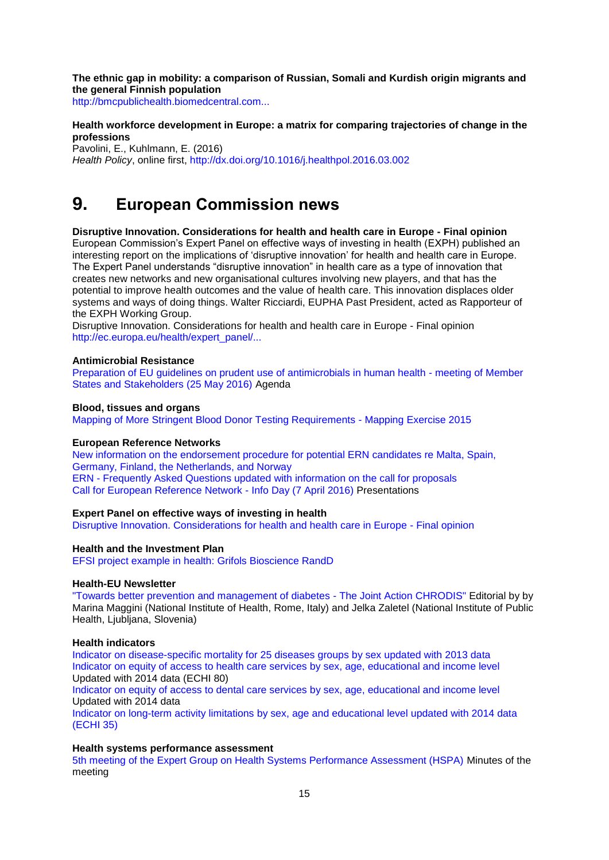**The ethnic gap in mobility: a comparison of Russian, Somali and Kurdish origin migrants and the general Finnish population**

[http://bmcpublichealth.biomedcentral.com...](http://bmcpublichealth.biomedcentral.com/articles/10.1186/s12889-016-2993-1)

### **Health workforce development in Europe: a matrix for comparing trajectories of change in the professions**

Pavolini, E., Kuhlmann, E. (2016) *Health Policy*, online first,<http://dx.doi.org/10.1016/j.healthpol.2016.03.002>

## <span id="page-14-0"></span>**9. European Commission news**

**Disruptive Innovation. Considerations for health and health care in Europe - Final opinion**  European Commission's Expert Panel on effective ways of investing in health (EXPH) published an interesting report on the implications of 'disruptive innovation' for health and health care in Europe. The Expert Panel understands "disruptive innovation" in health care as a type of innovation that creates new networks and new organisational cultures involving new players, and that has the potential to improve health outcomes and the value of health care. This innovation displaces older systems and ways of doing things. Walter Ricciardi, EUPHA Past President, acted as Rapporteur of the EXPH Working Group.

Disruptive Innovation. Considerations for health and health care in Europe - Final opinion [http://ec.europa.eu/health/expert\\_panel/...](http://ec.europa.eu/health/expert_panel/opinions/docs/012_disruptive_innovation_en.pdf)

#### **Antimicrobial Resistance**

[Preparation of EU guidelines on prudent use of antimicrobials in human health -](http://ec.europa.eu/dgs/health_food-safety/amr/docs/ev_20160525_ag_en.pdf) meeting of Member [States and Stakeholders \(25 May 2016\)](http://ec.europa.eu/dgs/health_food-safety/amr/docs/ev_20160525_ag_en.pdf) Agenda

## **Blood, tissues and organs**

[Mapping of More Stringent Blood Donor Testing Requirements -](http://ec.europa.eu/health/blood_tissues_organs/key_documents/testing_blooddonors_mapping/index_en.htm) Mapping Exercise 2015

#### **European Reference Networks**

[New information on the endorsement procedure for potential ERN candidates re Malta, Spain,](http://ec.europa.eu/health/ern/board_member_states/index_en.htm)  [Germany, Finland, the Netherlands, and Norway](http://ec.europa.eu/health/ern/board_member_states/index_en.htm) ERN - [Frequently Asked Questions updated with information on the call for proposals](http://ec.europa.eu/health/ern/implementation/faq_en.htm#fragment0) [Call for European Reference Network -](http://ec.europa.eu/health/ern/events/ev_20160407_en.htm) Info Day (7 April 2016) Presentations

## **Expert Panel on effective ways of investing in health**

[Disruptive Innovation. Considerations for health and health care in Europe -](http://ec.europa.eu/health/expert_panel/opinions/docs/012_disruptive_innovation_en.pdf) Final opinion

#### **Health and the Investment Plan**

[EFSI project example in health: Grifols Bioscience RandD](http://ec.europa.eu/health/investment_plan/docs/grifols_factsheet_en.pdf)

#### **Health-EU Newsletter**

["Towards better prevention and management of diabetes -](http://ec.europa.eu/health/newsletter/172/newsletter_en.htm) The Joint Action CHRODIS" Editorial by by Marina Maggini (National Institute of Health, Rome, Italy) and Jelka Zaletel (National Institute of Public Health, Ljubljana, Slovenia)

#### **Health indicators**

[Indicator on disease-specific mortality for 25 diseases groups by sex updated with 2013 data](http://ec.europa.eu/health/indicators/echi/list/index_en.htm#id2) [Indicator on equity of access to health care services by sex, age, educational and income level](http://ec.europa.eu/health/indicators/echi/list/index_en.htm#id4) Updated with 2014 data (ECHI 80)

[Indicator on equity of access to dental care services by sex, age, educational and income level](http://ec.europa.eu/health/indicators/echi/list/index_en.htm#id4) Updated with 2014 data

[Indicator on long-term activity limitations by sex, age and educational level updated with 2014 data](http://ec.europa.eu/health/indicators/echi/list/index_en.htm#id2)  [\(ECHI 35\)](http://ec.europa.eu/health/indicators/echi/list/index_en.htm#id2)

#### **Health systems performance assessment**

[5th meeting of the Expert Group on Health Systems Performance Assessment \(HSPA\)](http://ec.europa.eu/health/systems_performance_assessment/docs/ev_20151204_mi_en.pdf) Minutes of the meeting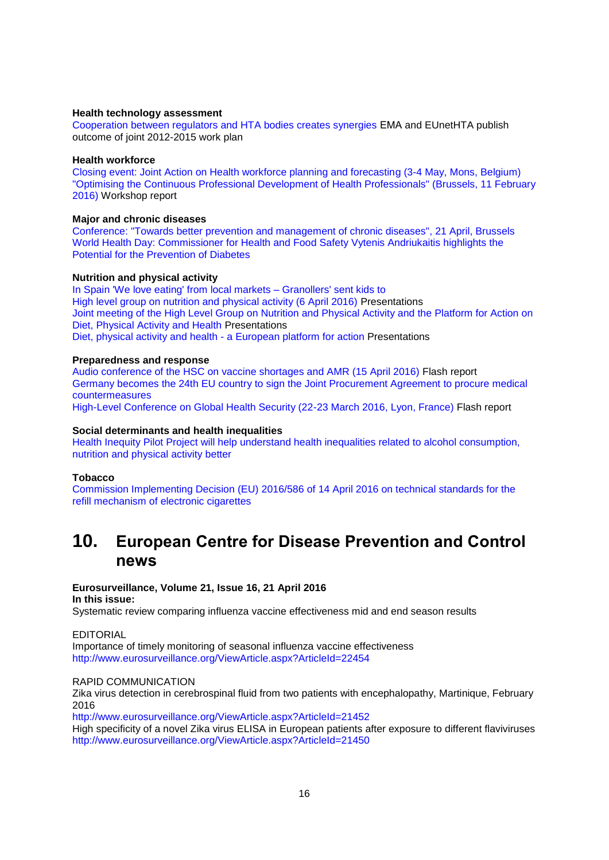#### **Health technology assessment**

[Cooperation between regulators and HTA bodies creates synergies](http://www.ema.europa.eu/ema/index.jsp?curl=pages/news_and_events/news/2016/04/news_detail_002510.jspandmid=WC0b01ac058004d5c1) ΕΜΑ and EUnetHTA publish outcome of joint 2012-2015 work plan

#### **Health workforce**

[Closing event: Joint Action on Health workforce planning and forecasting \(3-4 May, Mons, Belgium\)](http://ec.europa.eu/health/workforce/events/ev_20160503_en.htm) ["Optimising the Continuous Professional Development of Health Professionals" \(Brussels, 11 February](http://ec.europa.eu/health/workforce/events/ev_20160211_en.htm)  [2016\)](http://ec.europa.eu/health/workforce/events/ev_20160211_en.htm) Workshop report

#### **Major and chronic diseases**

[Conference: "Towards better prevention and management of chronic diseases", 21 April, Brussels](http://ec.europa.eu/dgs/health_food-safety/dyna/enews/enews.cfm?al_id=1682) [World Health Day: Commissioner for Health and Food Safety Vytenis Andriukaitis highlights the](http://europa.eu/rapid/press-release_STATEMENT-16-1282_en.htm)  [Potential for the Prevention of Diabetes](http://europa.eu/rapid/press-release_STATEMENT-16-1282_en.htm)

#### **Nutrition and physical activity**

[In Spain 'We love eating' from local markets –](http://ec.europa.eu/health/nutrition_physical_activity/projects/ep_funded_projects_en.htm#fragment1) Granollers' sent kids to [High level group on nutrition and physical activity \(6 April 2016\)](http://ec.europa.eu/health/nutrition_physical_activity/events/ev_20160406_en.htm) Presentations [Joint meeting of the High Level Group on Nutrition and Physical Activity and the Platform for Action on](http://ec.europa.eu/health/nutrition_physical_activity/events/ev_201604062_en.htm)  [Diet, Physical Activity and Health](http://ec.europa.eu/health/nutrition_physical_activity/events/ev_201604062_en.htm) Presentations [Diet, physical activity and health -](http://ec.europa.eu/health/nutrition_physical_activity/events/ev_20160407_en.htm) a European platform for action Presentations

#### **Preparedness and response**

[Audio conference of the HSC on vaccine shortages and AMR \(15 April 2016\)](http://ec.europa.eu/health/preparedness_response/docs/ev_20160415_flash_en.pdf) Flash report [Germany becomes the 24th EU country to sign the Joint Procurement Agreement to procure medical](http://ec.europa.eu/health/preparedness_response/joint_procurement/jpa_signature_en.htm)  [countermeasures](http://ec.europa.eu/health/preparedness_response/joint_procurement/jpa_signature_en.htm) [High-Level Conference on Global Health Security \(22-23 March 2016, Lyon, France\)](http://ec.europa.eu/health/preparedness_response/docs/ev_20160322_flash_en.pdf) Flash report

#### **Social determinants and health inequalities**

[Health Inequity Pilot Project will help understand health inequalities related to alcohol consumption,](http://ec.europa.eu/health/social_determinants/projects/ep_funded_projects_en.htm#fragment1)  [nutrition and physical](http://ec.europa.eu/health/social_determinants/projects/ep_funded_projects_en.htm#fragment1) activity better

#### **Tobacco**

[Commission Implementing Decision \(EU\) 2016/586 of 14 April 2016 on technical standards for the](http://ec.europa.eu/health/tobacco/key_documents/index_en.htm#anchor0)  [refill mechanism of electronic cigarettes](http://ec.europa.eu/health/tobacco/key_documents/index_en.htm#anchor0)

## <span id="page-15-0"></span>**10. European Centre for Disease Prevention and Control news**

## **Eurosurveillance, Volume 21, Issue 16, 21 April 2016**

## **In this issue:**

Systematic review comparing influenza vaccine effectiveness mid and end season results

### EDITORIAL

Importance of timely monitoring of seasonal influenza vaccine effectiveness <http://www.eurosurveillance.org/ViewArticle.aspx?ArticleId=22454>

#### RAPID COMMUNICATION

Zika virus detection in cerebrospinal fluid from two patients with encephalopathy, Martinique, February 2016

<http://www.eurosurveillance.org/ViewArticle.aspx?ArticleId=21452>

High specificity of a novel Zika virus ELISA in European patients after exposure to different flaviviruses <http://www.eurosurveillance.org/ViewArticle.aspx?ArticleId=21450>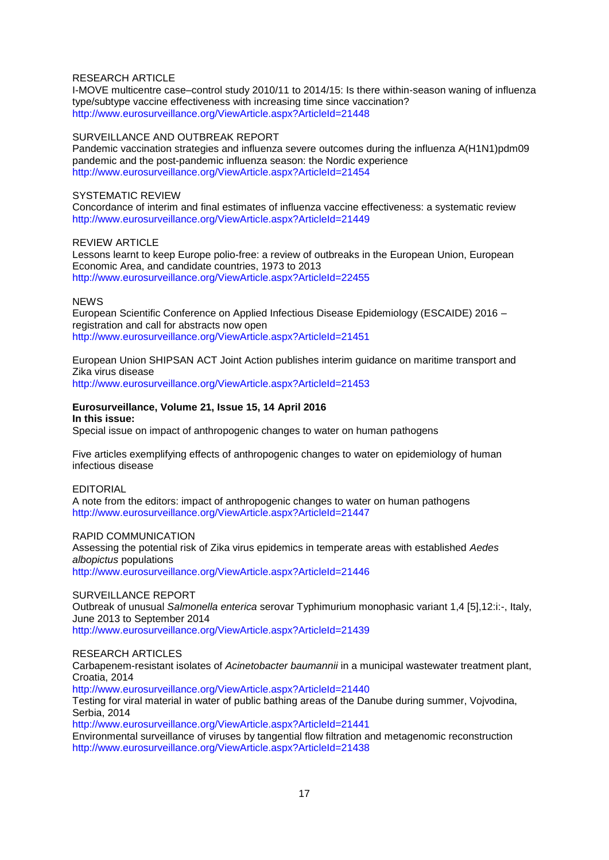#### RESEARCH ARTICLE

I-MOVE multicentre case–control study 2010/11 to 2014/15: Is there within-season waning of influenza type/subtype vaccine effectiveness with increasing time since vaccination? <http://www.eurosurveillance.org/ViewArticle.aspx?ArticleId=21448>

#### SURVEILLANCE AND OUTBREAK REPORT

Pandemic vaccination strategies and influenza severe outcomes during the influenza A(H1N1)pdm09 pandemic and the post-pandemic influenza season: the Nordic experience <http://www.eurosurveillance.org/ViewArticle.aspx?ArticleId=21454>

#### SYSTEMATIC REVIEW

Concordance of interim and final estimates of influenza vaccine effectiveness: a systematic review <http://www.eurosurveillance.org/ViewArticle.aspx?ArticleId=21449>

#### REVIEW ARTICLE

Lessons learnt to keep Europe polio-free: a review of outbreaks in the European Union, European Economic Area, and candidate countries, 1973 to 2013 <http://www.eurosurveillance.org/ViewArticle.aspx?ArticleId=22455>

#### **NEWS**

European Scientific Conference on Applied Infectious Disease Epidemiology (ESCAIDE) 2016 – registration and call for abstracts now open <http://www.eurosurveillance.org/ViewArticle.aspx?ArticleId=21451>

European Union SHIPSAN ACT Joint Action publishes interim guidance on maritime transport and Zika virus disease

<http://www.eurosurveillance.org/ViewArticle.aspx?ArticleId=21453>

#### **Eurosurveillance, Volume 21, Issue 15, 14 April 2016 In this issue:**

Special issue on impact of anthropogenic changes to water on human pathogens

Five articles exemplifying effects of anthropogenic changes to water on epidemiology of human infectious disease

#### EDITORIAL

A note from the editors: impact of anthropogenic changes to water on human pathogens <http://www.eurosurveillance.org/ViewArticle.aspx?ArticleId=21447>

#### RAPID COMMUNICATION

Assessing the potential risk of Zika virus epidemics in temperate areas with established *Aedes albopictus* populations <http://www.eurosurveillance.org/ViewArticle.aspx?ArticleId=21446>

#### SURVEILLANCE REPORT

Outbreak of unusual *Salmonella enterica* serovar Typhimurium monophasic variant 1,4 [5],12:i:-, Italy, June 2013 to September 2014

<http://www.eurosurveillance.org/ViewArticle.aspx?ArticleId=21439>

#### RESEARCH ARTICLES

Carbapenem-resistant isolates of *Acinetobacter baumannii* in a municipal wastewater treatment plant, Croatia, 2014

<http://www.eurosurveillance.org/ViewArticle.aspx?ArticleId=21440>

Testing for viral material in water of public bathing areas of the Danube during summer, Vojvodina, Serbia, 2014

<http://www.eurosurveillance.org/ViewArticle.aspx?ArticleId=21441>

Environmental surveillance of viruses by tangential flow filtration and metagenomic reconstruction <http://www.eurosurveillance.org/ViewArticle.aspx?ArticleId=21438>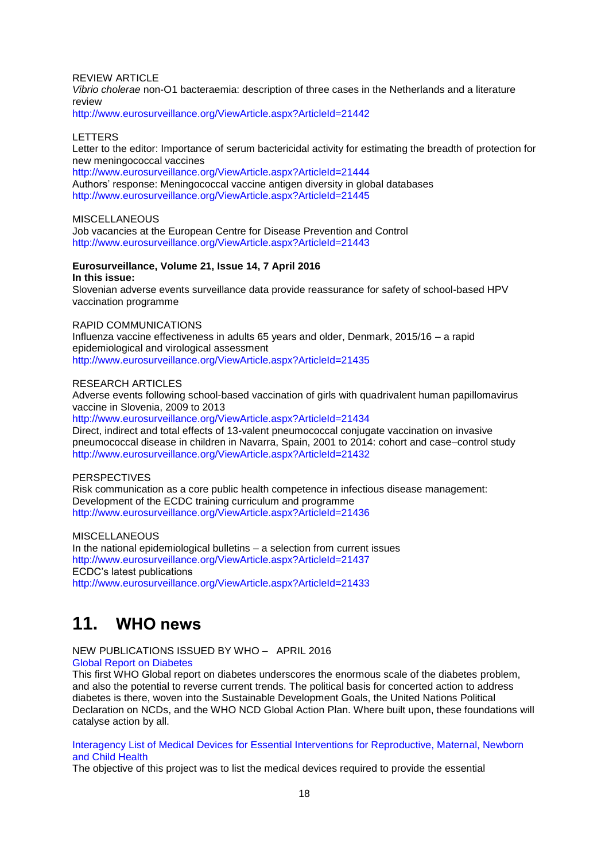#### REVIEW ARTICLE

*Vibrio cholerae* non-O1 bacteraemia: description of three cases in the Netherlands and a literature review

<http://www.eurosurveillance.org/ViewArticle.aspx?ArticleId=21442>

#### LETTERS

Letter to the editor: Importance of serum bactericidal activity for estimating the breadth of protection for new meningococcal vaccines

<http://www.eurosurveillance.org/ViewArticle.aspx?ArticleId=21444> Authors' response: Meningococcal vaccine antigen diversity in global databases <http://www.eurosurveillance.org/ViewArticle.aspx?ArticleId=21445>

## **MISCELLANEOUS**

Job vacancies at the European Centre for Disease Prevention and Control <http://www.eurosurveillance.org/ViewArticle.aspx?ArticleId=21443>

#### **Eurosurveillance, Volume 21, Issue 14, 7 April 2016 In this issue:**

Slovenian adverse events surveillance data provide reassurance for safety of school-based HPV vaccination programme

### RAPID COMMUNICATIONS

Influenza vaccine effectiveness in adults 65 years and older, Denmark, 2015/16 – a rapid epidemiological and virological assessment <http://www.eurosurveillance.org/ViewArticle.aspx?ArticleId=21435>

#### RESEARCH ARTICLES

Adverse events following school-based vaccination of girls with quadrivalent human papillomavirus vaccine in Slovenia, 2009 to 2013

<http://www.eurosurveillance.org/ViewArticle.aspx?ArticleId=21434> Direct, indirect and total effects of 13-valent pneumococcal conjugate vaccination on invasive pneumococcal disease in children in Navarra, Spain, 2001 to 2014: cohort and case–control study <http://www.eurosurveillance.org/ViewArticle.aspx?ArticleId=21432>

## **PERSPECTIVES**

Risk communication as a core public health competence in infectious disease management: Development of the ECDC training curriculum and programme <http://www.eurosurveillance.org/ViewArticle.aspx?ArticleId=21436>

**MISCELLANEOUS** In the national epidemiological bulletins – a selection from current issues <http://www.eurosurveillance.org/ViewArticle.aspx?ArticleId=21437> ECDC's latest publications <http://www.eurosurveillance.org/ViewArticle.aspx?ArticleId=21433>

## <span id="page-17-0"></span>**11. WHO news**

#### NEW PUBLICATIONS ISSUED BY WHO – APRIL 2016 [Global Report on Diabetes](http://apps.who.int/bookorders/anglais/detart1.jsp?codlan=1&codcol=15&codcch=913)

This first WHO Global report on diabetes underscores the enormous scale of the diabetes problem, and also the potential to reverse current trends. The political basis for concerted action to address diabetes is there, woven into the Sustainable Development Goals, the United Nations Political Declaration on NCDs, and the WHO NCD Global Action Plan. Where built upon, these foundations will catalyse action by all.

[Interagency List of Medical Devices for Essential Interventions for Reproductive, Maternal, Newborn](http://apps.who.int/bookorders/anglais/detart1.jsp?codlan=1&codcol=93&codcch=330)  [and Child Health](http://apps.who.int/bookorders/anglais/detart1.jsp?codlan=1&codcol=93&codcch=330)

The objective of this project was to list the medical devices required to provide the essential